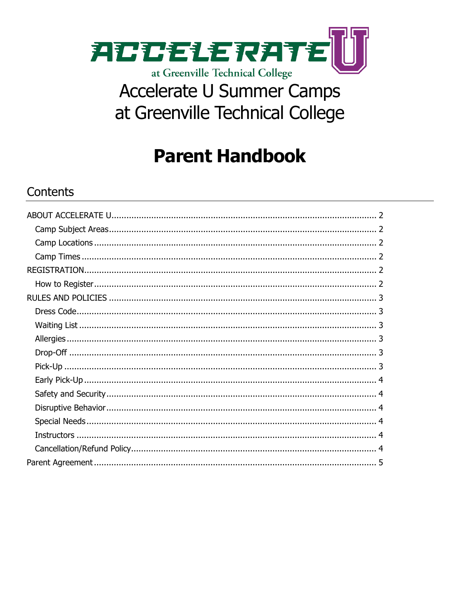

# **Accelerate U Summer Camps** at Greenville Technical College

## **Parent Handbook**

### Contents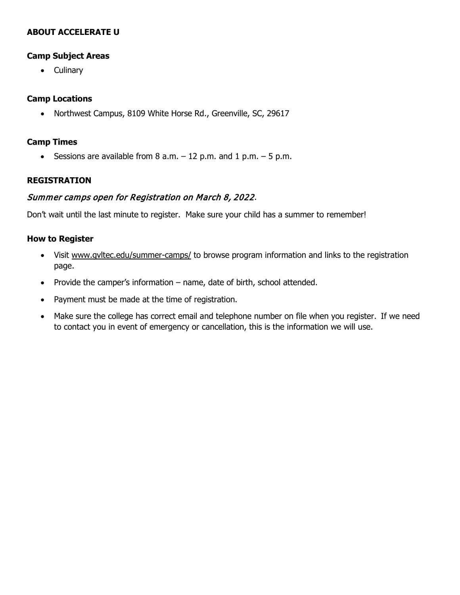#### <span id="page-1-1"></span><span id="page-1-0"></span>**ABOUT ACCELERATE U**

#### **Camp Subject Areas**

• Culinary

#### <span id="page-1-2"></span>**Camp Locations**

• Northwest Campus, 8109 White Horse Rd., Greenville, SC, 29617

#### <span id="page-1-3"></span>**Camp Times**

• Sessions are available from  $8$  a.m.  $-12$  p.m. and  $1$  p.m.  $-5$  p.m.

#### <span id="page-1-4"></span>**REGISTRATION**

#### Summer camps open for Registration on March 8, 2022.

<span id="page-1-5"></span>Don't wait until the last minute to register. Make sure your child has a summer to remember!

#### **How to Register**

- Visit [www.gvltec.edu/summer-camps/](http://www.gvltec.edu/summer-camps/) to browse program information and links to the registration page.
- Provide the camper's information name, date of birth, school attended.
- Payment must be made at the time of registration.
- • Make sure the college has correct email and telephone number on file when you register. If we need to contact you in event of emergency or cancellation, this is the information we will use.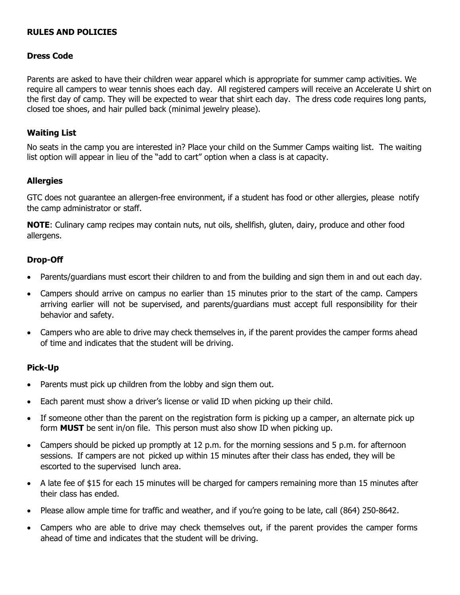#### <span id="page-2-1"></span><span id="page-2-0"></span>**RULES AND POLICIES**

#### <span id="page-2-2"></span>**Dress Code**

 Parents are asked to have their children wear apparel which is appropriate for summer camp activities. We require all campers to wear tennis shoes each day. All registered campers will receive an Accelerate U shirt on the first day of camp. They will be expected to wear that shirt each day. The dress code requires long pants, closed toe shoes, and hair pulled back (minimal jewelry please).

#### **Waiting List**

 No seats in the camp you are interested in? Place your child on the Summer Camps waiting list. The waiting list option will appear in lieu of the "add to cart" option when a class is at capacity.

#### <span id="page-2-3"></span>**Allergies**

 GTC does not guarantee an allergen-free environment, if a student has food or other allergies, please notify the camp administrator or staff.

 **NOTE**: Culinary camp recipes may contain nuts, nut oils, shellfish, gluten, dairy, produce and other food allergens.

#### <span id="page-2-4"></span>**Drop-Off**

- Parents/guardians must escort their children to and from the building and sign them in and out each day.
- • Campers should arrive on campus no earlier than 15 minutes prior to the start of the camp. Campers arriving earlier will not be supervised, and parents/guardians must accept full responsibility for their behavior and safety.
- • Campers who are able to drive may check themselves in, if the parent provides the camper forms ahead of time and indicates that the student will be driving.

#### <span id="page-2-5"></span>**Pick-Up**

- Parents must pick up children from the lobby and sign them out.
- Each parent must show a driver's license or valid ID when picking up their child.
- • If someone other than the parent on the registration form is picking up a camper, an alternate pick up form **MUST** be sent in/on file. This person must also show ID when picking up.
- • Campers should be picked up promptly at 12 p.m. for the morning sessions and 5 p.m. for afternoon sessions. If campers are not picked up within 15 minutes after their class has ended, they will be escorted to the supervised lunch area.
- • A late fee of \$15 for each 15 minutes will be charged for campers remaining more than 15 minutes after their class has ended.
- Please allow ample time for traffic and weather, and if you're going to be late, call (864) 250-8642.
- ahead of time and indicates that the student will be driving. • Campers who are able to drive may check themselves out, if the parent provides the camper forms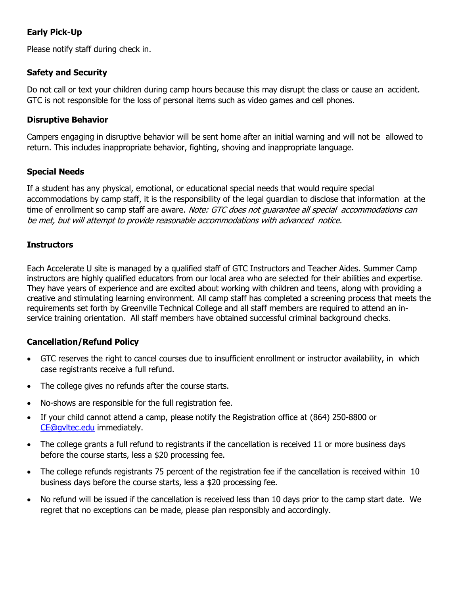#### <span id="page-3-0"></span>**Early Pick-Up**

<span id="page-3-1"></span>Please notify staff during check in.

#### **Safety and Security**

 Do not call or text your children during camp hours because this may disrupt the class or cause an accident. GTC is not responsible for the loss of personal items such as video games and cell phones.

#### <span id="page-3-2"></span>**Disruptive Behavior**

 Campers engaging in disruptive behavior will be sent home after an initial warning and will not be allowed to return. This includes inappropriate behavior, fighting, shoving and inappropriate language.

#### <span id="page-3-3"></span>**Special Needs**

 If a student has any physical, emotional, or educational special needs that would require special accommodations by camp staff, it is the responsibility of the legal guardian to disclose that information at the time of enrollment so camp staff are aware. *Note: GTC does not guarantee all special accommodations can* be met, but will attempt to provide reasonable accommodations with advanced notice.

#### <span id="page-3-4"></span>**Instructors**

<span id="page-3-5"></span> Each Accelerate U site is managed by a qualified staff of GTC Instructors and Teacher Aides. Summer Camp instructors are highly qualified educators from our local area who are selected for their abilities and expertise. They have years of experience and are excited about working with children and teens, along with providing a creative and stimulating learning environment. All camp staff has completed a screening process that meets the requirements set forth by Greenville Technical College and all staff members are required to attend an in-service training orientation. All staff members have obtained successful criminal background checks.

#### **Cancellation/Refund Policy**

- • GTC reserves the right to cancel courses due to insufficient enrollment or instructor availability, in which case registrants receive a full refund.
- The college gives no refunds after the course starts.
- No-shows are responsible for the full registration fee.
- • If your child cannot attend a camp, please notify the Registration office at (864) 250-8800 or [CE@g](mailto:CE@)vltec.edu immediately.
- • The college grants a full refund to registrants if the cancellation is received 11 or more business days before the course starts, less a \$20 processing fee.
- • The college refunds registrants 75 percent of the registration fee if the cancellation is received within 10 business days before the course starts, less a \$20 processing fee.
- • No refund will be issued if the cancellation is received less than 10 days prior to the camp start date. We regret that no exceptions can be made, please plan responsibly and accordingly.